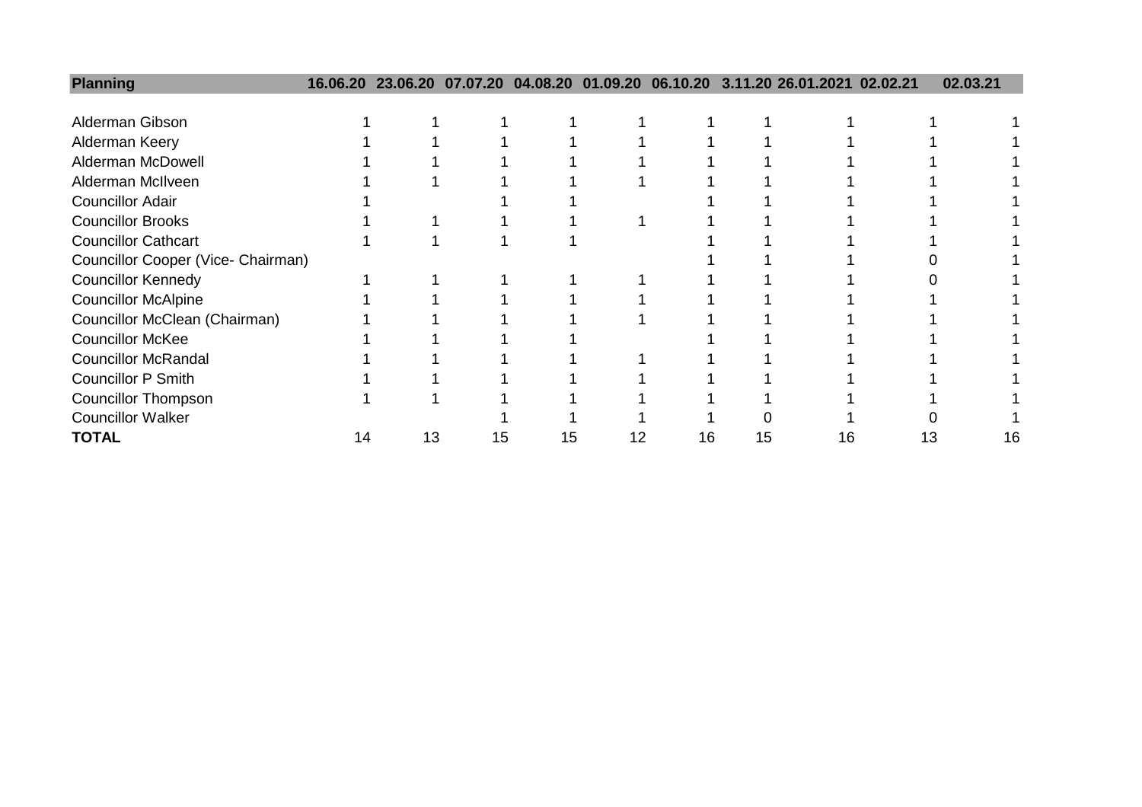| <b>Planning</b>                    |    |    |    |    |    |    |    | 16.06.20 23.06.20 07.07.20 04.08.20 01.09.20 06.10.20 3.11.20 26.01.2021 02.02.21 |    | 02.03.21 |  |
|------------------------------------|----|----|----|----|----|----|----|-----------------------------------------------------------------------------------|----|----------|--|
|                                    |    |    |    |    |    |    |    |                                                                                   |    |          |  |
| Alderman Gibson                    |    |    |    |    |    |    |    |                                                                                   |    |          |  |
| Alderman Keery                     |    |    |    |    |    |    |    |                                                                                   |    |          |  |
| Alderman McDowell                  |    |    |    |    |    |    |    |                                                                                   |    |          |  |
| Alderman McIlveen                  |    |    |    |    |    |    |    |                                                                                   |    |          |  |
| <b>Councillor Adair</b>            |    |    |    |    |    |    |    |                                                                                   |    |          |  |
| <b>Councillor Brooks</b>           |    |    |    |    |    |    |    |                                                                                   |    |          |  |
| <b>Councillor Cathcart</b>         |    |    |    |    |    |    |    |                                                                                   |    |          |  |
| Councillor Cooper (Vice- Chairman) |    |    |    |    |    |    |    |                                                                                   |    |          |  |
| <b>Councillor Kennedy</b>          |    |    |    |    |    |    |    |                                                                                   |    |          |  |
| <b>Councillor McAlpine</b>         |    |    |    |    |    |    |    |                                                                                   |    |          |  |
| Councillor McClean (Chairman)      |    |    |    |    |    |    |    |                                                                                   |    |          |  |
| <b>Councillor McKee</b>            |    |    |    |    |    |    |    |                                                                                   |    |          |  |
| <b>Councillor McRandal</b>         |    |    |    |    |    |    |    |                                                                                   |    |          |  |
| <b>Councillor P Smith</b>          |    |    |    |    |    |    |    |                                                                                   |    |          |  |
| <b>Councillor Thompson</b>         |    |    |    |    |    |    |    |                                                                                   |    |          |  |
| <b>Councillor Walker</b>           |    |    |    |    |    |    |    |                                                                                   |    |          |  |
| <b>TOTAL</b>                       | 14 | 13 | 15 | 15 | 12 | 16 | 15 | 16                                                                                | 13 | 16       |  |